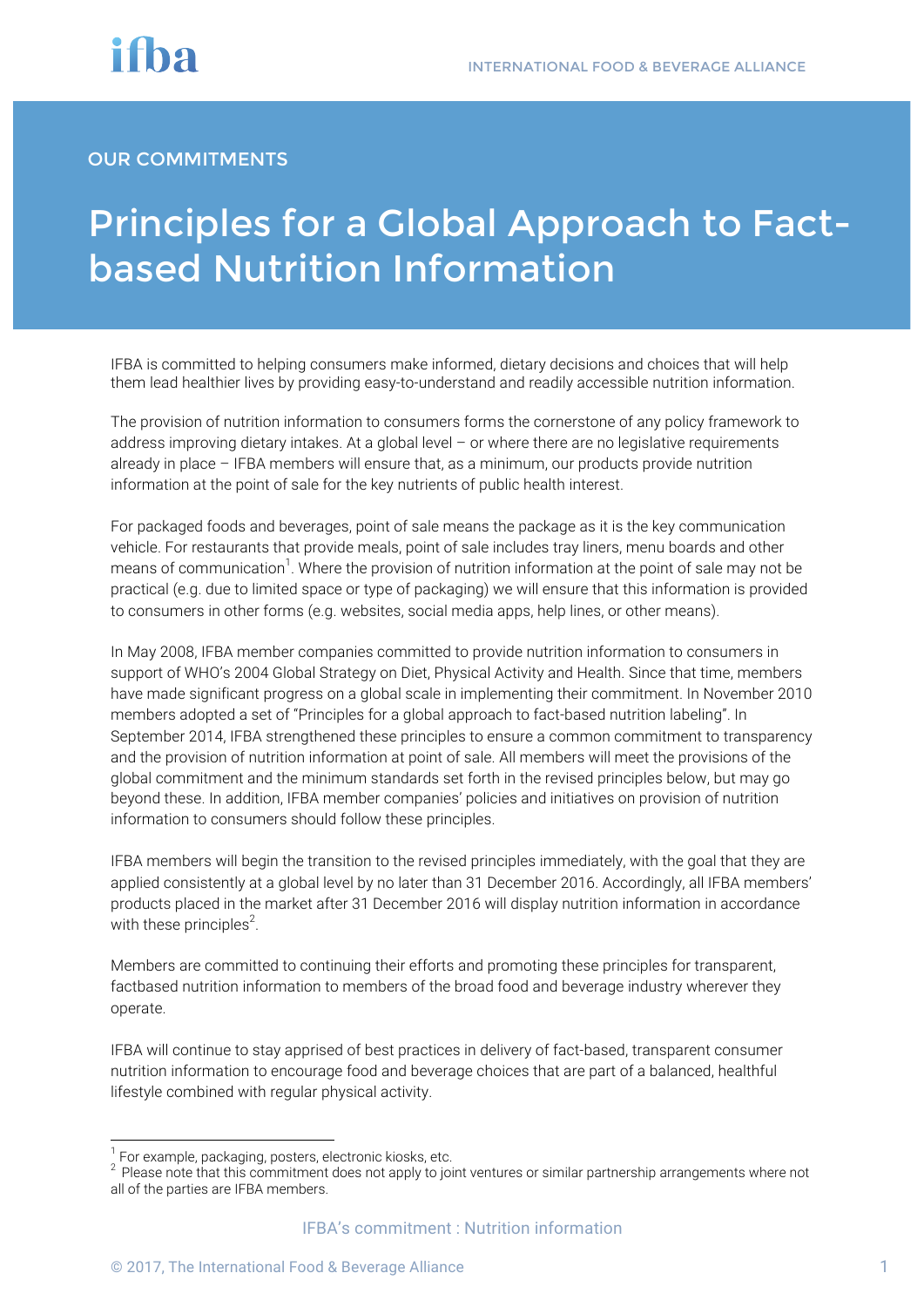#### OUR COMMITMENTS

## Principles for a Global Approach to Factbased Nutrition Information

IFBA is committed to helping consumers make informed, dietary decisions and choices that will help them lead healthier lives by providing easy-to-understand and readily accessible nutrition information.

The provision of nutrition information to consumers forms the cornerstone of any policy framework to address improving dietary intakes. At a global level – or where there are no legislative requirements already in place – IFBA members will ensure that, as a minimum, our products provide nutrition information at the point of sale for the key nutrients of public health interest.

For packaged foods and beverages, point of sale means the package as it is the key communication vehicle. For restaurants that provide meals, point of sale includes tray liners, menu boards and other means of communication<sup>1</sup>. Where the provision of nutrition information at the point of sale may not be practical (e.g. due to limited space or type of packaging) we will ensure that this information is provided to consumers in other forms (e.g. websites, social media apps, help lines, or other means).

In May 2008, IFBA member companies committed to provide nutrition information to consumers in support of WHO's 2004 Global Strategy on Diet, Physical Activity and Health. Since that time, members have made significant progress on a global scale in implementing their commitment. In November 2010 members adopted a set of "Principles for a global approach to fact-based nutrition labeling". In September 2014, IFBA strengthened these principles to ensure a common commitment to transparency and the provision of nutrition information at point of sale. All members will meet the provisions of the global commitment and the minimum standards set forth in the revised principles below, but may go beyond these. In addition, IFBA member companies' policies and initiatives on provision of nutrition information to consumers should follow these principles.

IFBA members will begin the transition to the revised principles immediately, with the goal that they are applied consistently at a global level by no later than 31 December 2016. Accordingly, all IFBA members' products placed in the market after 31 December 2016 will display nutrition information in accordance with these principles<sup>2</sup>.

Members are committed to continuing their efforts and promoting these principles for transparent, factbased nutrition information to members of the broad food and beverage industry wherever they operate.

IFBA will continue to stay apprised of best practices in delivery of fact-based, transparent consumer nutrition information to encourage food and beverage choices that are part of a balanced, healthful lifestyle combined with regular physical activity.

 $1$  For example, packaging, posters, electronic kiosks, etc.

<sup>&</sup>lt;sup>2</sup> Please note that this commitment does not apply to joint ventures or similar partnership arrangements where not all of the parties are IFBA members.